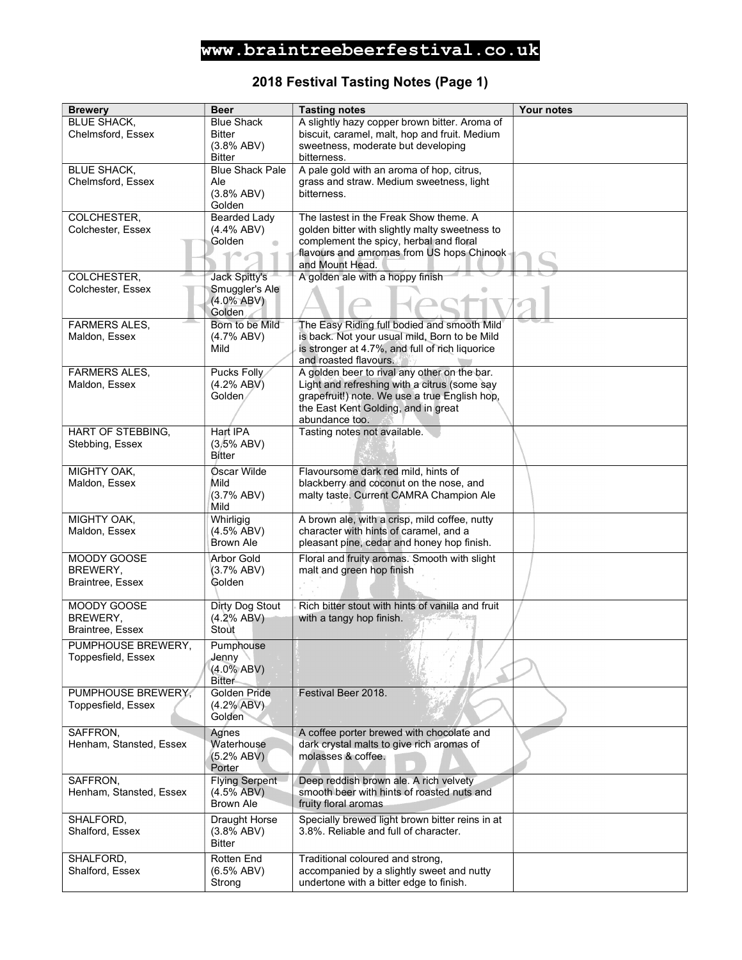### 2018 Festival Tasting Notes (Page 1)

| <b>Brewery</b>                      | <b>Beer</b>               | <b>Tasting notes</b>                                                                         | Your notes |
|-------------------------------------|---------------------------|----------------------------------------------------------------------------------------------|------------|
| <b>BLUE SHACK,</b>                  | <b>Blue Shack</b>         | A slightly hazy copper brown bitter. Aroma of                                                |            |
| Chelmsford, Essex                   | <b>Bitter</b>             | biscuit, caramel, malt, hop and fruit. Medium                                                |            |
|                                     | (3.8% ABV)                | sweetness, moderate but developing                                                           |            |
|                                     | <b>Bitter</b>             | bitterness.                                                                                  |            |
| <b>BLUE SHACK.</b>                  | <b>Blue Shack Pale</b>    | A pale gold with an aroma of hop, citrus,                                                    |            |
| Chelmsford, Essex                   | Ale                       | grass and straw. Medium sweetness, light                                                     |            |
|                                     | (3.8% ABV)                | bitterness.                                                                                  |            |
|                                     | Golden                    |                                                                                              |            |
| COLCHESTER,                         | <b>Bearded Lady</b>       | The lastest in the Freak Show theme. A                                                       |            |
| Colchester, Essex                   | $(4.4\%$ ABV)             | golden bitter with slightly malty sweetness to                                               |            |
|                                     | Golden                    | complement the spicy, herbal and floral<br>flavours and amromas from US hops Chinook         |            |
|                                     |                           | and Mount Head.                                                                              |            |
| COLCHESTER.                         | Jack Spitty's             | A golden ale with a hoppy finish                                                             |            |
| Colchester, Essex                   | Smuggler's Ale            |                                                                                              |            |
|                                     | $(4.0\%$ ABV)             |                                                                                              |            |
|                                     | Golden                    |                                                                                              |            |
| <b>FARMERS ALES,</b>                | Born to be Mild           | The Easy Riding full bodied and smooth Mild                                                  |            |
| Maldon, Essex                       | (4.7% ABV)                | is back. Not your usual mild, Born to be Mild                                                |            |
|                                     | Mild                      | is stronger at 4.7%, and full of rich liquorice                                              |            |
| <b>FARMERS ALES.</b>                |                           | and roasted flavours.                                                                        |            |
| Maldon, Essex                       | Pucks Folly<br>(4.2% ABV) | A golden beer to rival any other on the bar.<br>Light and refreshing with a citrus (some say |            |
|                                     | Golden                    | grapefruit!) note. We use a true English hop,                                                |            |
|                                     |                           | the East Kent Golding, and in great                                                          |            |
|                                     |                           | abundance too.                                                                               |            |
| HART OF STEBBING,                   | Hart IPA                  | Tasting notes not available.                                                                 |            |
| Stebbing, Essex                     | (3.5% ABV)                |                                                                                              |            |
|                                     | <b>Bitter</b>             |                                                                                              |            |
| MIGHTY OAK,                         | Oscar Wilde               | Flavoursome dark red mild, hints of                                                          |            |
| Maldon, Essex                       | Mild                      | blackberry and coconut on the nose, and                                                      |            |
|                                     | (3.7% ABV)                | malty taste. Current CAMRA Champion Ale                                                      |            |
|                                     | Mild                      |                                                                                              |            |
| MIGHTY OAK,<br>Maldon, Essex        | Whirligig<br>(4.5% ABV)   | A brown ale, with a crisp, mild coffee, nutty<br>character with hints of caramel, and a      |            |
|                                     | <b>Brown Ale</b>          | pleasant pine, cedar and honey hop finish.                                                   |            |
| MOODY GOOSE                         | <b>Arbor Gold</b>         |                                                                                              |            |
| BREWERY,                            | (3.7% ABV)                | Floral and fruity aromas. Smooth with slight<br>malt and green hop finish                    |            |
| <b>Braintree, Essex</b>             | Golden                    |                                                                                              |            |
|                                     |                           |                                                                                              |            |
| MOODY GOOSE                         | Dirty Dog Stout           | Rich bitter stout with hints of vanilla and fruit                                            |            |
| BREWERY,                            | (4.2% ABV)                | with a tangy hop finish.                                                                     |            |
| Braintree, Essex                    | Stout                     |                                                                                              |            |
| PUMPHOUSE BREWERY,                  | Pumphouse                 |                                                                                              |            |
| Toppesfield, Essex                  | Jenny                     |                                                                                              |            |
|                                     | $(4.0\%$ ABV)             |                                                                                              |            |
|                                     | <b>Bitter</b>             |                                                                                              |            |
| PUMPHOUSE BREWERY,                  | Golden Pride              | Festival Beer 2018.                                                                          |            |
| Toppesfield, Essex                  | (4.2% ABV)<br>Golden      |                                                                                              |            |
|                                     |                           |                                                                                              |            |
| SAFFRON,<br>Henham, Stansted, Essex | Agnes<br>Waterhouse       | A coffee porter brewed with chocolate and<br>dark crystal malts to give rich aromas of       |            |
|                                     | (5.2% ABV)                | molasses & coffee.                                                                           |            |
|                                     | Porter                    |                                                                                              |            |
| SAFFRON,                            | <b>Flying Serpent</b>     | Deep reddish brown ale. A rich velvety                                                       |            |
| Henham, Stansted, Essex             | $(4.5\%$ ABV)             | smooth beer with hints of roasted nuts and                                                   |            |
|                                     | <b>Brown Ale</b>          | fruity floral aromas                                                                         |            |
| SHALFORD,                           | Draught Horse             | Specially brewed light brown bitter reins in at                                              |            |
| Shalford, Essex                     | (3.8% ABV)                | 3.8%. Reliable and full of character.                                                        |            |
|                                     | <b>Bitter</b>             |                                                                                              |            |
| SHALFORD,                           | Rotten End                | Traditional coloured and strong,                                                             |            |
| Shalford, Essex                     | (6.5% ABV)                | accompanied by a slightly sweet and nutty                                                    |            |
|                                     | Strong                    | undertone with a bitter edge to finish.                                                      |            |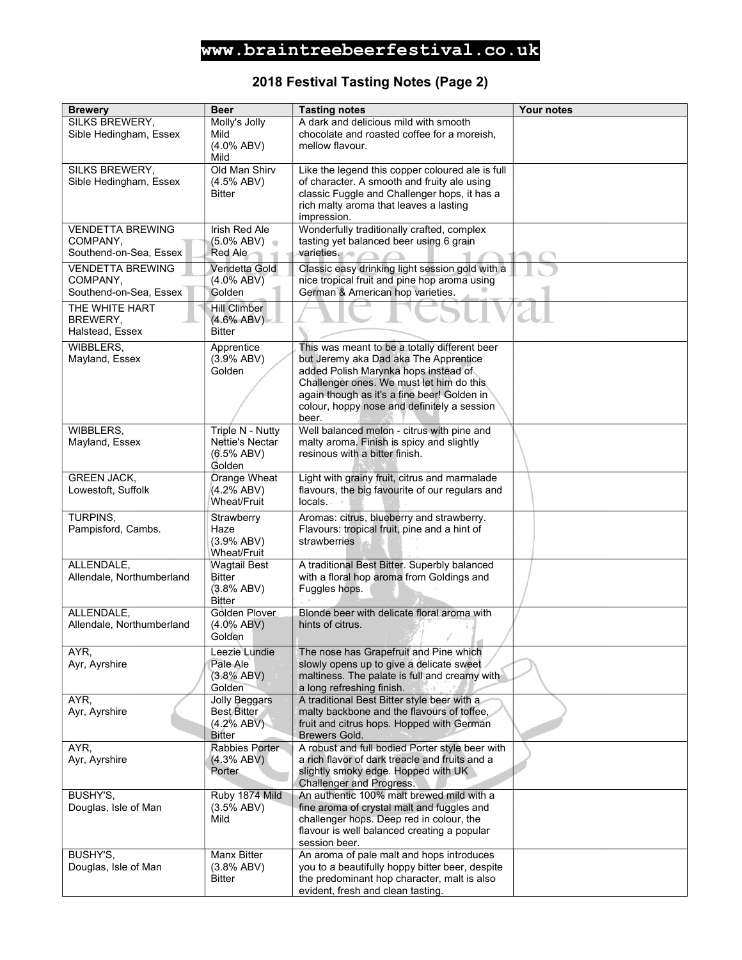### 2018 Festival Tasting Notes (Page 2)

| <b>Brewery</b>            | <b>Beer</b>                      | <b>Tasting notes</b>                                         | Your notes |
|---------------------------|----------------------------------|--------------------------------------------------------------|------------|
| SILKS BREWERY,            | Molly's Jolly                    | A dark and delicious mild with smooth                        |            |
| Sible Hedingham, Essex    | Mild                             | chocolate and roasted coffee for a moreish.                  |            |
|                           | $(4.0\%$ ABV)                    | mellow flavour.                                              |            |
|                           | Mild                             |                                                              |            |
| SILKS BREWERY,            | Old Man Shirv                    | Like the legend this copper coloured ale is full             |            |
| Sible Hedingham, Essex    | $(4.5\%$ ABV)                    | of character. A smooth and fruity ale using                  |            |
|                           | <b>Bitter</b>                    | classic Fuggle and Challenger hops, it has a                 |            |
|                           |                                  | rich malty aroma that leaves a lasting                       |            |
|                           |                                  | impression.                                                  |            |
| <b>VENDETTA BREWING</b>   | <b>Irish Red Ale</b>             | Wonderfully traditionally crafted, complex                   |            |
| COMPANY,                  | $(5.0\%$ ABV)                    | tasting yet balanced beer using 6 grain                      |            |
| Southend-on-Sea, Essex    | Red Ale                          | varieties.                                                   |            |
| <b>VENDETTA BREWING</b>   | Vendetta Gold                    | Classic easy drinking light session gold with a              |            |
| COMPANY,                  | $(4.0\%$ ABV)                    | nice tropical fruit and pine hop aroma using                 |            |
| Southend-on-Sea, Essex    | Golden                           | German & American hop varieties.                             |            |
| THE WHITE HART            | <b>Hill Climber</b>              |                                                              |            |
| BREWERY,                  | $(4.6\%$ ABV)                    |                                                              |            |
| Halstead, Essex           | <b>Bitter</b>                    |                                                              |            |
|                           |                                  |                                                              |            |
| WIBBLERS,                 | Apprentice                       | This was meant to be a totally different beer                |            |
| Mayland, Essex            | (3.9% ABV)                       | but Jeremy aka Dad aka The Apprentice                        |            |
|                           | Golden                           | added Polish Marynka hops instead of                         |            |
|                           |                                  | Challenger ones. We must let him do this                     |            |
|                           |                                  | again though as it's a fine beer! Golden in                  |            |
|                           |                                  | colour, hoppy nose and definitely a session<br>beer.         |            |
| WIBBLERS,                 | Triple N - Nutty                 | Well balanced melon - citrus with pine and                   |            |
| Mayland, Essex            | Nettie's Nectar                  | malty aroma. Finish is spicy and slightly                    |            |
|                           | (6.5% ABV)                       | resinous with a bitter finish.                               |            |
|                           | Golden                           |                                                              |            |
| <b>GREEN JACK,</b>        | Orange Wheat                     | Light with grainy fruit, citrus and marmalade                |            |
| Lowestoft, Suffolk        | (4.2% ABV)                       | flavours, the big favourite of our regulars and              |            |
|                           | Wheat/Fruit                      | locals.                                                      |            |
|                           |                                  |                                                              |            |
| TURPINS.                  | Strawberry<br>Haze               | Aromas: citrus, blueberry and strawberry.                    |            |
| Pampisford, Cambs.        |                                  | Flavours: tropical fruit, pine and a hint of<br>strawberries |            |
|                           | (3.9% ABV)<br><b>Wheat/Fruit</b> |                                                              |            |
| ALLENDALE,                | <b>Wagtail Best</b>              | A traditional Best Bitter. Superbly balanced                 |            |
| Allendale, Northumberland | <b>Bitter</b>                    | with a floral hop aroma from Goldings and                    |            |
|                           | (3.8% ABV)                       | Fuggles hops.                                                |            |
|                           | Bitter                           |                                                              |            |
| ALLENDALE,                | Golden Plover                    | Blonde beer with delicate floral aroma with                  |            |
| Allendale, Northumberland | $(4.0\%$ ABV)                    | hints of citrus.                                             |            |
|                           | Golden                           |                                                              |            |
| AYR,                      | Leezie Lundie                    | The nose has Grapefruit and Pine which                       |            |
| Ayr, Ayrshire             | Pale Ale                         | slowly opens up to give a delicate sweet                     |            |
|                           | (3.8% ABV)                       | maltiness. The palate is full and creamy with                |            |
|                           | Golden                           | a long refreshing finish.                                    |            |
| AYR,                      | Jolly Beggars                    | A traditional Best Bitter style beer with a                  |            |
| Ayr, Ayrshire             | Best Bitter                      | malty backbone and the flavours of toffee,                   |            |
|                           | (4.2% ABV)                       | fruit and citrus hops. Hopped with German                    |            |
|                           | <b>Bitter</b>                    | Brewers Gold.                                                |            |
| AYR,                      | Rabbies Porter                   | A robust and full bodied Porter style beer with              |            |
| Ayr, Ayrshire             | (4.3% ABV)                       | a rich flavor of dark treacle and fruits and a               |            |
|                           | Porter                           | slightly smoky edge. Hopped with UK                          |            |
|                           |                                  | Challenger and Progress.                                     |            |
| BUSHY'S,                  | Ruby 1874 Mild                   | An authentic 100% malt brewed mild with a                    |            |
| Douglas, Isle of Man      | (3.5% ABV)                       | fine aroma of crystal malt and fuggles and                   |            |
|                           | Mild                             | challenger hops. Deep red in colour, the                     |            |
|                           |                                  | flavour is well balanced creating a popular                  |            |
|                           |                                  | session beer.                                                |            |
| BUSHY'S,                  | <b>Manx Bitter</b>               | An aroma of pale malt and hops introduces                    |            |
| Douglas, Isle of Man      | (3.8% ABV)                       | you to a beautifully hoppy bitter beer, despite              |            |
|                           | <b>Bitter</b>                    | the predominant hop character, malt is also                  |            |
|                           |                                  | evident, fresh and clean tasting.                            |            |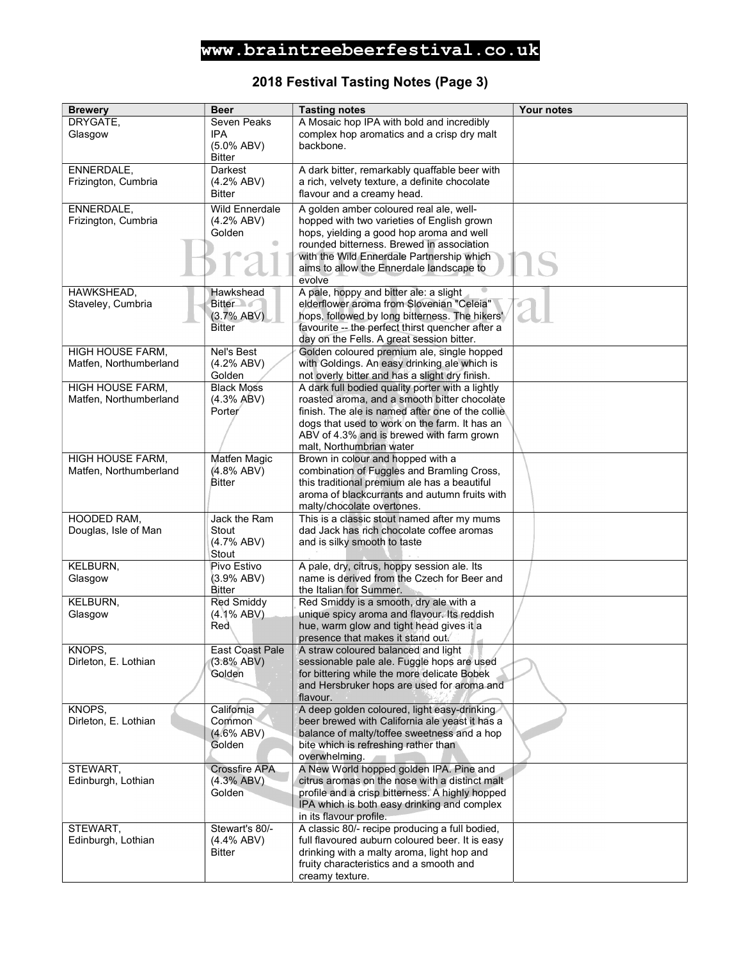### 2018 Festival Tasting Notes (Page 3)

| <b>Brewery</b>                 | <b>Beer</b>                          | <b>Tasting notes</b>                                                                | Your notes |
|--------------------------------|--------------------------------------|-------------------------------------------------------------------------------------|------------|
| DRYGATE,                       | Seven Peaks                          | A Mosaic hop IPA with bold and incredibly                                           |            |
| Glasgow                        | <b>IPA</b>                           | complex hop aromatics and a crisp dry malt                                          |            |
|                                | $(5.0\%$ ABV)                        | backbone.                                                                           |            |
|                                | <b>Bitter</b>                        |                                                                                     |            |
| ENNERDALE,                     | Darkest                              | A dark bitter, remarkably quaffable beer with                                       |            |
| Frizington, Cumbria            | (4.2% ABV)                           | a rich, velvety texture, a definite chocolate                                       |            |
|                                | <b>Bitter</b>                        | flavour and a creamy head.                                                          |            |
| ENNERDALE,                     | <b>Wild Ennerdale</b>                | A golden amber coloured real ale, well-                                             |            |
| Frizington, Cumbria            | (4.2% ABV)                           | hopped with two varieties of English grown                                          |            |
|                                | Golden                               | hops, yielding a good hop aroma and well                                            |            |
|                                |                                      | rounded bitterness. Brewed in association                                           |            |
|                                |                                      | with the Wild Ennerdale Partnership which                                           |            |
|                                |                                      | aims to allow the Ennerdale landscape to                                            |            |
|                                |                                      | evolve                                                                              |            |
| HAWKSHEAD,                     | Hawkshead                            | A pale, hoppy and bitter ale: a slight<br>elderflower aroma from Slovenian "Celeia" |            |
| Staveley, Cumbria              | <b>Bitter</b><br>(3.7% ABV)          | hops, followed by long bitterness. The hikers'                                      |            |
|                                | <b>Bitter</b>                        | favourite -- the perfect thirst quencher after a                                    |            |
|                                |                                      | day on the Fells. A great session bitter.                                           |            |
| HIGH HOUSE FARM,               | Nel's Best                           | Golden coloured premium ale, single hopped                                          |            |
| Matfen, Northumberland         | (4.2% ABV)                           | with Goldings. An easy drinking ale which is                                        |            |
|                                | Golden                               | not overly bitter and has a slight dry finish.                                      |            |
| HIGH HOUSE FARM,               | <b>Black Moss</b>                    | A dark full bodied quality porter with a lightly                                    |            |
| Matfen, Northumberland         | (4.3% ABV)                           | roasted aroma, and a smooth bitter chocolate                                        |            |
|                                | Porter                               | finish. The ale is named after one of the collie                                    |            |
|                                |                                      | dogs that used to work on the farm. It has an                                       |            |
|                                |                                      | ABV of 4.3% and is brewed with farm grown                                           |            |
|                                |                                      | malt, Northumbrian water                                                            |            |
| HIGH HOUSE FARM,               | Matfen Magic                         | Brown in colour and hopped with a                                                   |            |
| Matfen, Northumberland         | (4.8% ABV)                           | combination of Fuggles and Bramling Cross,                                          |            |
|                                | <b>Bitter</b>                        | this traditional premium ale has a beautiful                                        |            |
|                                |                                      | aroma of blackcurrants and autumn fruits with<br>malty/chocolate overtones.         |            |
| HOODED RAM,                    | Jack the Ram                         | This is a classic stout named after my mums                                         |            |
| Douglas, Isle of Man           | Stout                                | dad Jack has rich chocolate coffee aromas                                           |            |
|                                | (4.7% ABV)                           | and is silky smooth to taste                                                        |            |
|                                | Stout                                |                                                                                     |            |
| KELBURN,                       | Pivo Estivo                          | A pale, dry, citrus, hoppy session ale. Its                                         |            |
| Glasgow                        | (3.9% ABV)                           | name is derived from the Czech for Beer and                                         |            |
|                                | Bitter                               | the Italian for Summer.                                                             |            |
| <b>KELBURN.</b>                | <b>Red Smiddy</b>                    | Red Smiddy is a smooth, dry ale with a                                              |            |
| Glasgow                        | $(4.1\%$ ABV)                        | unique spicy aroma and flavour. Its reddish                                         |            |
|                                | <b>Red</b>                           | hue, warm glow and tight head gives it a                                            |            |
|                                |                                      | presence that makes it stand out.                                                   |            |
| KNOPS,<br>Dirleton, E. Lothian | <b>East Coast Pale</b><br>(3.8% ABV) | A straw coloured balanced and light<br>sessionable pale ale. Fuggle hops are used   |            |
|                                | Golden                               | for bittering while the more delicate Bobek                                         |            |
|                                |                                      | and Hersbruker hops are used for aroma and                                          |            |
|                                |                                      | flavour.                                                                            |            |
| KNOPS,                         | California                           | A deep golden coloured, light easy-drinking                                         |            |
| Dirleton, E. Lothian           | Common                               | beer brewed with California ale yeast it has a                                      |            |
|                                | (4.6% ABV)                           | balance of malty/toffee sweetness and a hop                                         |            |
|                                | Golden                               | bite which is refreshing rather than                                                |            |
|                                |                                      | overwhelming.                                                                       |            |
| STEWART,                       | <b>Crossfire APA</b>                 | A New World hopped golden IPA. Pine and                                             |            |
| Edinburgh, Lothian             | (4.3% ABV)                           | citrus aromas on the nose with a distinct malt                                      |            |
|                                | Golden                               | profile and a crisp bitterness. A highly hopped                                     |            |
|                                |                                      | IPA which is both easy drinking and complex<br>in its flavour profile.              |            |
| STEWART,                       | Stewart's 80/-                       | A classic 80/- recipe producing a full bodied,                                      |            |
| Edinburgh, Lothian             | $(4.4\%$ ABV)                        | full flavoured auburn coloured beer. It is easy                                     |            |
|                                | <b>Bitter</b>                        | drinking with a malty aroma, light hop and                                          |            |
|                                |                                      | fruity characteristics and a smooth and                                             |            |
|                                |                                      | creamy texture.                                                                     |            |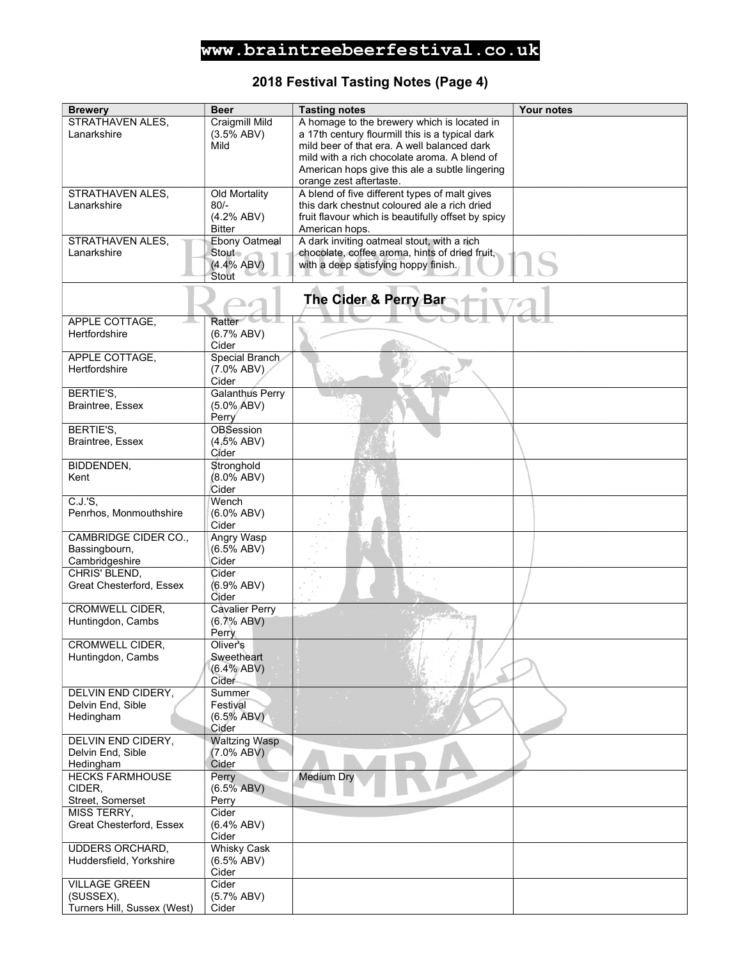### 2018 Festival Tasting Notes (Page 4)

| <b>Brewery</b>                      | <b>Beer</b>            | <b>Tasting notes</b>                                                                         | Your notes |
|-------------------------------------|------------------------|----------------------------------------------------------------------------------------------|------------|
| STRATHAVEN ALES,                    | <b>Craigmill Mild</b>  | A homage to the brewery which is located in                                                  |            |
| Lanarkshire                         | (3.5% ABV)             | a 17th century flourmill this is a typical dark                                              |            |
|                                     | Mild                   | mild beer of that era. A well balanced dark                                                  |            |
|                                     |                        | mild with a rich chocolate aroma. A blend of                                                 |            |
|                                     |                        | American hops give this ale a subtle lingering                                               |            |
|                                     |                        | orange zest aftertaste.                                                                      |            |
| STRATHAVEN ALES,                    | Old Mortality          | A blend of five different types of malt gives                                                |            |
| Lanarkshire                         | $80/-$                 | this dark chestnut coloured ale a rich dried                                                 |            |
|                                     | (4.2% ABV)             | fruit flavour which is beautifully offset by spicy                                           |            |
|                                     | <b>Bitter</b>          | American hops.                                                                               |            |
| STRATHAVEN ALES.<br>Lanarkshire     | Ebony Oatmeal          | A dark inviting oatmeal stout, with a rich<br>chocolate, coffee aroma, hints of dried fruit, |            |
|                                     | Stout<br>(4.4% ABV)    | with a deep satisfying hoppy finish.                                                         |            |
|                                     | Stout                  |                                                                                              |            |
|                                     |                        |                                                                                              |            |
|                                     |                        | The Cider & Perry Bar                                                                        |            |
|                                     |                        |                                                                                              |            |
| APPLE COTTAGE,                      | Ratter                 |                                                                                              |            |
| Hertfordshire                       | (6.7% ABV)             |                                                                                              |            |
|                                     | Cider                  |                                                                                              |            |
| APPLE COTTAGE,                      | Special Branch         |                                                                                              |            |
| Hertfordshire                       | $(7.0\%$ ABV)          |                                                                                              |            |
|                                     | Cider                  |                                                                                              |            |
| BERTIE'S,                           | <b>Galanthus Perry</b> |                                                                                              |            |
| <b>Braintree, Essex</b>             | $(5.0\%$ ABV)          |                                                                                              |            |
|                                     | Perry                  |                                                                                              |            |
| BERTIE'S,                           | <b>OBSession</b>       |                                                                                              |            |
| Braintree, Essex                    | (4.5% ABV)             |                                                                                              |            |
|                                     | Cider                  |                                                                                              |            |
| BIDDENDEN,                          | Stronghold             |                                                                                              |            |
| Kent                                | (8.0% ABV)             |                                                                                              |            |
| C.J.S.                              | Cider<br>Wench         |                                                                                              |            |
| Penrhos, Monmouthshire              | $(6.0\%$ ABV)          |                                                                                              |            |
|                                     | Cider                  |                                                                                              |            |
| CAMBRIDGE CIDER CO.,                | Angry Wasp             |                                                                                              |            |
| Bassingbourn,                       | (6.5% ABV)             |                                                                                              |            |
| Cambridgeshire                      | Cider                  |                                                                                              |            |
| CHRIS' BLEND,                       | Cider                  |                                                                                              |            |
| Great Chesterford, Essex            | (6.9% ABV)             |                                                                                              |            |
|                                     | Cider                  |                                                                                              |            |
| <b>CROMWELL CIDER,</b>              | <b>Cavalier Perry</b>  |                                                                                              |            |
| Huntingdon, Cambs                   | (6.7% ABV)             |                                                                                              |            |
|                                     | Perry                  |                                                                                              |            |
| CROMWELL CIDER,                     | Oliver's               |                                                                                              |            |
| Huntingdon, Cambs                   | Sweetheart             |                                                                                              |            |
|                                     | (6.4% ABV)             |                                                                                              |            |
|                                     | Cider                  |                                                                                              |            |
| DELVIN END CIDERY,                  | Summer                 |                                                                                              |            |
| Delvin End, Sible                   | Festival               |                                                                                              |            |
| Hedingham                           | $(6.5\% ABV)$          |                                                                                              |            |
|                                     | Cider                  |                                                                                              |            |
| DELVIN END CIDERY,                  | <b>Waltzing Wasp</b>   |                                                                                              |            |
| Delvin End, Sible                   | $(7.0\% ABV)$<br>Cider |                                                                                              |            |
| Hedingham<br><b>HECKS FARMHOUSE</b> | Perry                  | <b>Medium Dry</b>                                                                            |            |
| CIDER.                              | (6.5% ABV)             |                                                                                              |            |
| Street, Somerset                    | Perry                  |                                                                                              |            |
| MISS TERRY,                         | Cider                  |                                                                                              |            |
| Great Chesterford, Essex            | $(6.4\%$ ABV)          |                                                                                              |            |
|                                     | Cider                  |                                                                                              |            |
| <b>UDDERS ORCHARD,</b>              | <b>Whisky Cask</b>     |                                                                                              |            |
| Huddersfield, Yorkshire             | $(6.5\%$ ABV)          |                                                                                              |            |
|                                     | Cider                  |                                                                                              |            |
| <b>VILLAGE GREEN</b>                | Cider                  |                                                                                              |            |
| (SUSSEX),                           | (5.7% ABV)             |                                                                                              |            |
| Turners Hill, Sussex (West)         | Cider                  |                                                                                              |            |